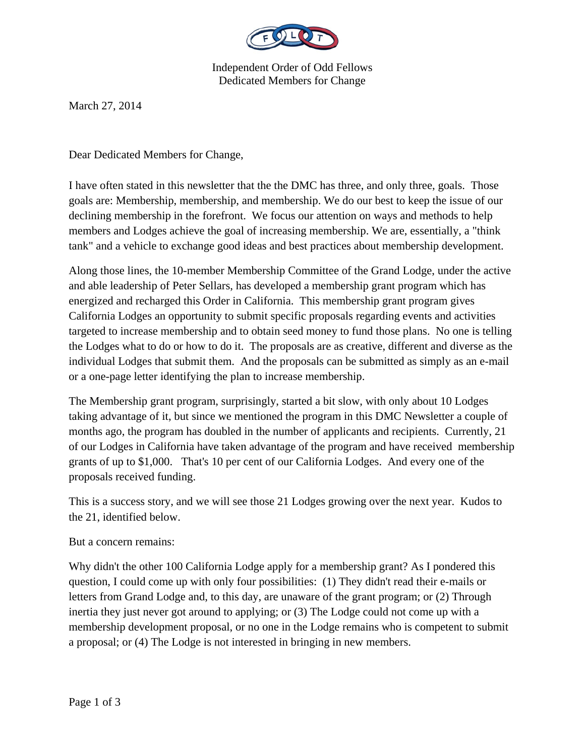

Independent Order of Odd Fellows Dedicated Members for Change

March 27, 2014

Dear Dedicated Members for Change,

I have often stated in this newsletter that the the DMC has three, and only three, goals. Those goals are: Membership, membership, and membership. We do our best to keep the issue of our declining membership in the forefront. We focus our attention on ways and methods to help members and Lodges achieve the goal of increasing membership. We are, essentially, a "think tank" and a vehicle to exchange good ideas and best practices about membership development.

Along those lines, the 10-member Membership Committee of the Grand Lodge, under the active and able leadership of Peter Sellars, has developed a membership grant program which has energized and recharged this Order in California. This membership grant program gives California Lodges an opportunity to submit specific proposals regarding events and activities targeted to increase membership and to obtain seed money to fund those plans. No one is telling the Lodges what to do or how to do it. The proposals are as creative, different and diverse as the individual Lodges that submit them. And the proposals can be submitted as simply as an e-mail or a one-page letter identifying the plan to increase membership.

The Membership grant program, surprisingly, started a bit slow, with only about 10 Lodges taking advantage of it, but since we mentioned the program in this DMC Newsletter a couple of months ago, the program has doubled in the number of applicants and recipients. Currently, 21 of our Lodges in California have taken advantage of the program and have received membership grants of up to \$1,000. That's 10 per cent of our California Lodges. And every one of the proposals received funding.

This is a success story, and we will see those 21 Lodges growing over the next year. Kudos to the 21, identified below.

But a concern remains:

Why didn't the other 100 California Lodge apply for a membership grant? As I pondered this question, I could come up with only four possibilities: (1) They didn't read their e-mails or letters from Grand Lodge and, to this day, are unaware of the grant program; or (2) Through inertia they just never got around to applying; or (3) The Lodge could not come up with a membership development proposal, or no one in the Lodge remains who is competent to submit a proposal; or (4) The Lodge is not interested in bringing in new members.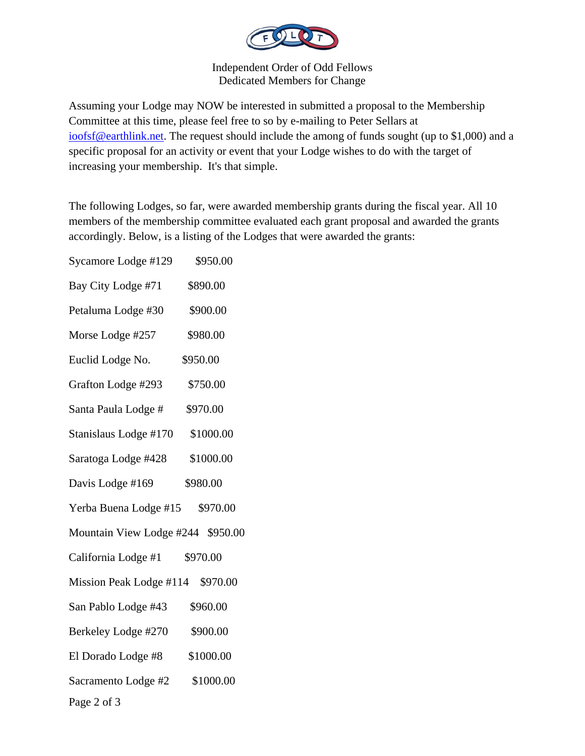

Independent Order of Odd Fellows Dedicated Members for Change

Assuming your Lodge may NOW be interested in submitted a proposal to the Membership Committee at this time, please feel free to so by e-mailing to Peter Sellars at ioofsf@earthlink.net. The request should include the among of funds sought (up to \$1,000) and a specific proposal for an activity or event that your Lodge wishes to do with the target of increasing your membership. It's that simple.

The following Lodges, so far, were awarded membership grants during the fiscal year. All 10 members of the membership committee evaluated each grant proposal and awarded the grants accordingly. Below, is a listing of the Lodges that were awarded the grants:

Page 2 of 3 Sycamore Lodge #129 \$950.00 Bay City Lodge #71 \$890.00 Petaluma Lodge #30 \$900.00 Morse Lodge #257 \$980.00 Euclid Lodge No. \$950.00 Grafton Lodge #293 \$750.00 Santa Paula Lodge # \$970.00 Stanislaus Lodge #170 \$1000.00 Saratoga Lodge #428 \$1000.00 Davis Lodge #169 \$980.00 Yerba Buena Lodge #15 \$970.00 Mountain View Lodge #244 \$950.00 California Lodge #1 \$970.00 Mission Peak Lodge #114 \$970.00 San Pablo Lodge #43 \$960.00 Berkeley Lodge #270 \$900.00 El Dorado Lodge #8 \$1000.00 Sacramento Lodge #2 \$1000.00